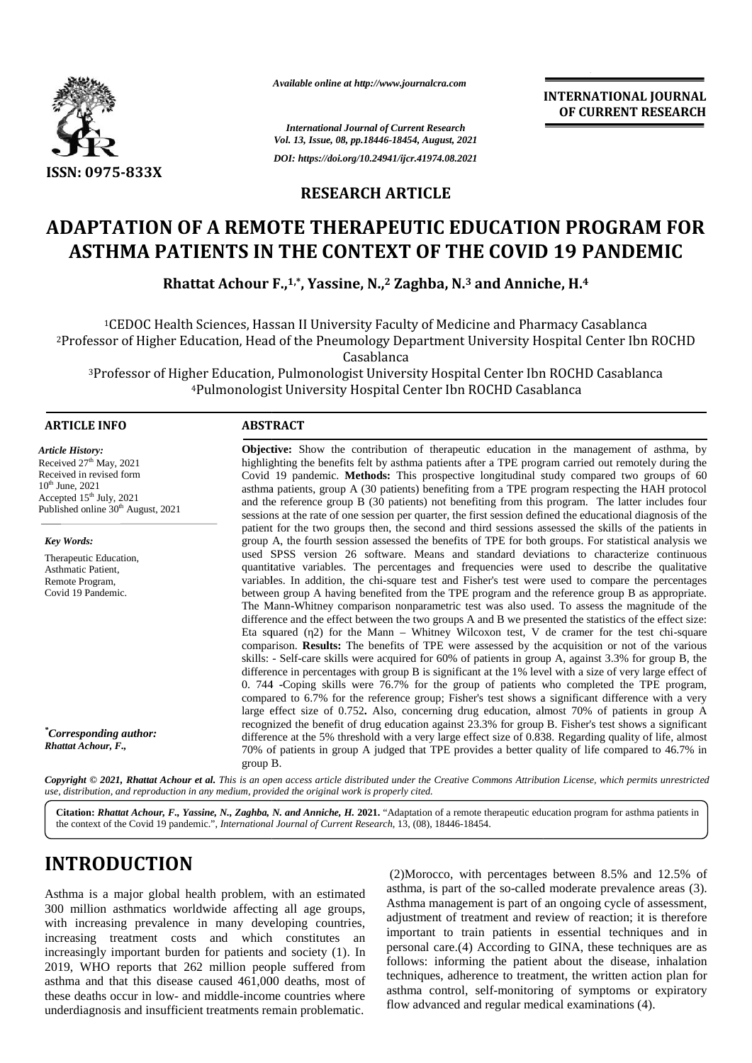

*Available online at http://www.journalcra.com*

**INTERNATIONAL JOURNAL OF CURRENT RESEARCH RESEARCH**

*International Journal of Current Research Vol. 13, Issue, 08, pp.18446-18454, August, 2021 International of Current Issue, DOI: https://doi.org/10.24941/ijcr.41974.08.2021*

### **RESEARCH ARTICLE**

# **ADAPTATION OF A REMOTE THERAPEUTIC EDUCATION PROGRAM FOR ASTHMA PATIENTS IN THE CONTEXT OF THE COVID 19 PANDEMIC ASTHMA PATIENTS**

**Rhattat Achour F.,1,\*, Yassine, N.,<sup>2</sup> Zaghba, N.<sup>3</sup> and Anniche, H.<sup>4</sup> , Yassine, 2N.**

 $^{\rm 1CEDOC}$  Health Sciences, Hassan II University Faculty of Medicine and Pharmacy Casablanca <sup>2</sup>Professor of Higher Education, Head of the Pneumology Department University Hospital Center Ibn ROCHD Casablanca Professor of Higher Education, Head of the Pneumology Department University Hospital Center Ibn ROCHD<sup>2</sup><br>Casablanca<br><sup>3</sup>Professor of Higher Education, Pulmonologist University Hospital Center Ibn ROCHD Casablanca<sup>3</sup>

<sup>4</sup>Pulmonologist University Hospital Center Ibn ROCHD Casablanca

#### **ARTICLE INFO ABSTRACT ARTICLE ABSTRACT**

*Article History: Article* Received  $27<sup>th</sup>$  May, 2021 Received in revised form  $10^{th}$  June,  $2021$ Accepted  $15<sup>th</sup>$  July, 2021 Published online  $30<sup>th</sup>$  August, 2021 Received 27<sup>th</sup> May, 2021<br>Received in revised form<br>10<sup>th</sup> June, 2021<br>Accepted 15<sup>th</sup> July, 2021

*Key Words:* Therapeutic Education, Asthmatic Patient, Remote Program, Covid 19 Pandemic.

*\*Corresponding author: Rhattat Achour, F.,*

**Objective:** Show the contribution of therapeutic education in the management of asthma, by highlighting the benefits felt by asthma patients after a TPE program carried out remotely during the Covid 19 pandemic. **Methods:** This prospective longitudinal study compared two groups of 60 asthma patients, group A (30 patients) benefiting from a TPE program respecting the HAH protocol and the reference group B (30 patients) not benefiting from this program. The latter includes four sessions at the rate of one session per quarter, the first session defined the educational diagnosis of the patient for the two groups then, the second and third sessions assessed the skills of the patients in group A, the fourth session assessed the benefits of TPE for both groups. For statistical analysis we used SPSS version 26 software. Means and standard deviations to characterize continuous quantitative variables. The percentages and frequencies were used to describe the qualitative variables. In addition, the chi-square test and Fisher's test were used to compare the percentages between group A having benefited from the TPE program and the reference group B as appropriate. The Mann-Whitney comparison nonparametric test was also used. To assess the magnitude of the difference and the effect between the two groups A and B we presented the statistics of the effect size: Eta squared (η2) for the Mann – Whitney Wilcoxon test, V de cramer for the test chi-square Eta squared (2) for the Mann – Whitney Wilcoxon test, V de cramer for the test chi-square comparison. **Results:** The benefits of TPE were assessed by the acquisition or not of the various skills: - Self-care skills were acquired for 60% of patients in group A, against 3.3% for group B, the difference in percentages with group B is significant at the 1% level with a size of very large effect of 0. 744 **-**Coping skills were 76.7% for the group of patients who completed the TPE program, compared to 6.7% for the reference group; Fisher's test shows a significant difference with a very large effect size of 0.752**.** Also, concerning drug education, almost 70% of patients in group A recognized the benefit of drug education against 23.3% for group B. Fisher's test shows a significant difference at the 5% threshold with a very large effect size of 0.838. Regarding quality of life, almost 70% of patients in group A judged that TPE provides a better quality of life compared to 46.7% in group B. **Objective:** Show the contribution of therapeutic education in the management of asthma, by highlighting the benefits felt by asthma patients after a TPE program carried out remotely during the Covid 19 pandemic. **Methods:** skills: - Self-care skills were acquired for 60% of patients in group A, against 3.3% for group B, the difference in percentages with group B is significant at the 1% level with a size of very large effect of 0. 744 -Copin Assume a material contraction of the three contracts in the contract of the second of the second and the second of the second and the second of the second and the second of the second and the second of the second of the s

Copyright © 2021, Rhattat Achour et al. This is an open access article distributed under the Creative Commons Attribution License, which permits unrestricted use, distribution, and reproduction in any medium, provided the original work is properly cited.

**Citation:** *Rhattat Achour, F., Yassine, N., Zaghba, N. and Anniche, H.* **2021.** "Adaptation of a remote therapeutic education program for asthma patients in the context of the Covid 19 pandemic.", *International Journal of Current Research*, 13, (08), 18446-18454.

# **INTRODUCTION INTRODUCTION**

Asthma is a major global health problem, with an estimated Asthma is a major global health problem, with an estimated 300 million asthmatics worldwide affecting all age groups, with increasing prevalence in many developing countries, increasing treatment costs and which constitutes an increasingly important burden for patients and society (1). In 2019, WHO reports that 262 million people suffered from asthma and that this disease caused 461,000 deaths, most of these deaths occur in low- and middle-income countries where underdiagnosis and insufficient treatments remain problematic.

(2)Morocco, with percentages between 8.5% and 12.5% of asthma, is part of the so-called moderate prevalence areas (3). Asthma management is part of an ongoing cycle of assessment, adjustment of treatment and review of reaction; it is therefore important to train patients in essential techniques and in personal care.(4) According to GINA, these techniques are as follows: informing the patient about the disease, inhalation techniques, adherence to treatment, the written action plan for asthma control, self-monitoring of symptoms or expiratory flow advanced and regular medical examinations (4). Asthma is a major global health problem, with an estimated<br>300 million asthmatics worldwide affecting all age groups,<br>with increasing prevalence in many developing countries,<br>increasing treatment costs and which constitute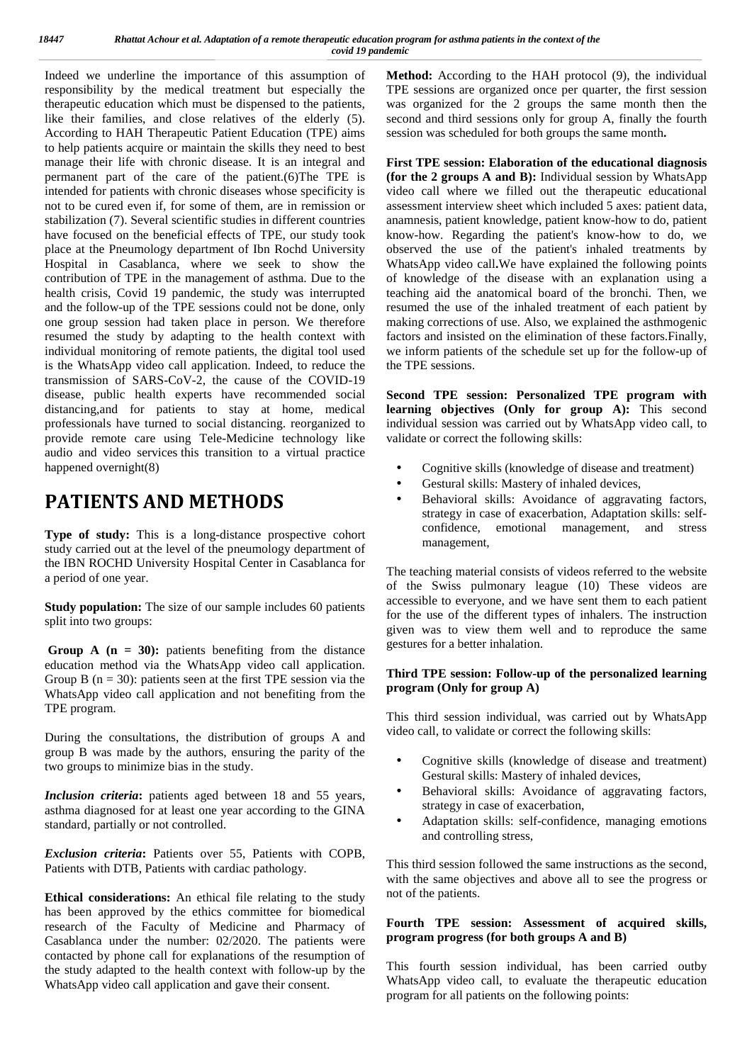Indeed we underline the importance of this assumption of M responsibility by the medical treatment but especially the therapeutic education which must be dispensed to the patients, like their families, and close relatives of the elderly (5). According to HAH Therapeutic Patient Education (TPE) aims to help patients acquire or maintain the skills they need to best manage their life with chronic disease. It is an integral and permanent part of the care of the patient.(6)The TPE is intended for patients with chronic diseases whose specificity is not to be cured even if, for some of them, are in remission or stabilization (7). Several scientific studies in different countries have focused on the beneficial effects of TPE, our study took place at the Pneumology department of Ibn Rochd University Hospital in Casablanca, where we seek to show the contribution of TPE in the management of asthma. Due to the health crisis, Covid 19 pandemic, the study was interrupted and the follow-up of the TPE sessions could not be done, only one group session had taken place in person. We therefore resumed the study by adapting to the health context with individual monitoring of remote patients, the digital tool used is the WhatsApp video call application. Indeed, to reduce the transmission of SARS-CoV-2, the cause of the COVID-19 disease, public health experts have recommended social distancing,and for patients to stay at home, medical professionals have turned to social distancing. reorganized to provide remote care using Tele-Medicine technology like audio and video services this transition to a virtual practice happened overnight(8)

## **PATIENTS AND METHODS**

**Type of study:** This is a long-distance prospective cohort study carried out at the level of the pneumology department of the IBN ROCHD University Hospital Center in Casablanca for a period of one year.

**Study population:** The size of our sample includes 60 patients split into two groups:

**Group A**  $(n = 30)$ : patients benefiting from the distance education method via the WhatsApp video call application. Group B ( $n = 30$ ): patients seen at the first TPE session via the WhatsApp video call application and not benefiting from the TPE program.

During the consultations, the distribution of groups A and group B was made by the authors, ensuring the parity of the two groups to minimize bias in the study.

*Inclusion criteria***:** patients aged between 18 and 55 years, asthma diagnosed for at least one year according to the GINA standard, partially or not controlled.

*Exclusion criteria***:** Patients over 55, Patients with COPB, Patients with DTB, Patients with cardiac pathology.

**Ethical considerations:** An ethical file relating to the study has been approved by the ethics committee for biomedical research of the Faculty of Medicine and Pharmacy of Casablanca under the number: 02/2020. The patients were contacted by phone call for explanations of the resumption of the study adapted to the health context with follow-up by the WhatsApp video call application and gave their consent.

**Method:** According to the HAH protocol (9), the individual TPE sessions are organized once per quarter, the first session was organized for the 2 groups the same month then the second and third sessions only for group A, finally the fourth session was scheduled for both groups the same month**.**

**First TPE session: Elaboration of the educational diagnosis (for the 2 groups A and B):** Individual session by WhatsApp video call where we filled out the therapeutic educational assessment interview sheet which included 5 axes: patient data, anamnesis, patient knowledge, patient know-how to do, patient know-how. Regarding the patient's know-how to do, we observed the use of the patient's inhaled treatments by WhatsApp video call**.**We have explained the following points of knowledge of the disease with an explanation using a teaching aid the anatomical board of the bronchi. Then, we resumed the use of the inhaled treatment of each patient by making corrections of use. Also, we explained the asthmogenic factors and insisted on the elimination of these factors.Finally, we inform patients of the schedule set up for the follow-up of the TPE sessions.

**Second TPE session: Personalized TPE program with learning objectives (Only for group A):** This second individual session was carried out by WhatsApp video call, to validate or correct the following skills:

- Cognitive skills (knowledge of disease and treatment)
- Gestural skills: Mastery of inhaled devices,
- Behavioral skills: Avoidance of aggravating factors, strategy in case of exacerbation, Adaptation skills: self confidence, emotional management, and stress management,

The teaching material consists of videos referred to the website of the Swiss pulmonary league (10) These videos are accessible to everyone, and we have sent them to each patient for the use of the different types of inhalers. The instruction given was to view them well and to reproduce the same gestures for a better inhalation.

#### **Third TPE session: Follow-up of the personalized learning program (Only for group A)**

This third session individual, was carried out by WhatsApp video call, to validate or correct the following skills:

- Cognitive skills (knowledge of disease and treatment) Gestural skills: Mastery of inhaled devices,
- Behavioral skills: Avoidance of aggravating factors, strategy in case of exacerbation,
- Adaptation skills: self-confidence, managing emotions and controlling stress,

This third session followed the same instructions as the second, with the same objectives and above all to see the progress or not of the patients.

#### **Fourth TPE session: Assessment of acquired skills, program progress (for both groups A and B)**

This fourth session individual, has been carried outby WhatsApp video call, to evaluate the therapeutic education program for all patients on the following points: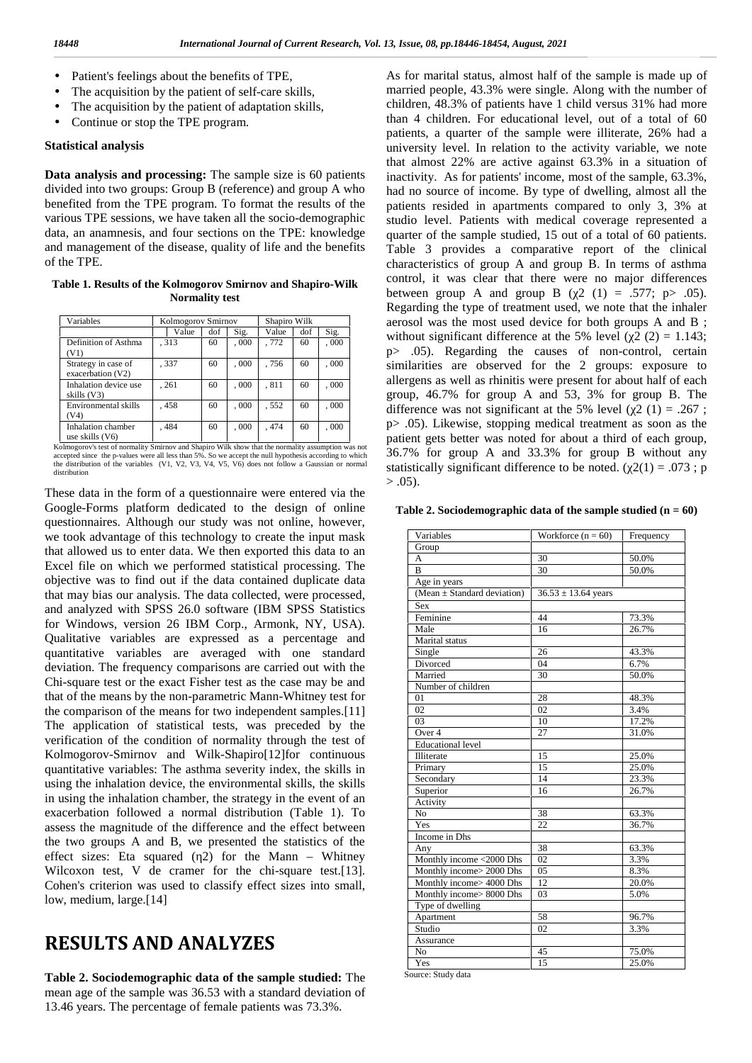- *J.* Patient's feelings about the benefits of TPE,
	- The acquisition by the patient of self-care skills,
	- The acquisition by the patient of adaptation skills,
	- Continue or stop the TPE program.

#### **Statistical analysis**

**Data analysis and processing:** The sample size is 60 patients divided into two groups: Group B (reference) and group A who benefited from the TPE program. To format the results of the various TPE sessions, we have taken all the socio-demographic data, an anamnesis, and four sections on the TPE: knowledge and management of the disease, quality of life and the benefits of the TPE.

**Table 1. Results of the Kolmogorov Smirnov and Shapiro-Wilk Normality test**

| Variables                                                                                          | Kolmogorov Smirnov |             |      | Shapiro Wilk |     |      |  |
|----------------------------------------------------------------------------------------------------|--------------------|-------------|------|--------------|-----|------|--|
|                                                                                                    | Value              | Sig.<br>dof |      |              | dof | Sig. |  |
| Definition of Asthma<br>(V1)                                                                       | .313               | 60          | 000, | , 772        | 60  | 000. |  |
| Strategy in case of<br>exacerbation (V2)                                                           | .337               | 60          | 000. | , 756        | 60  | 000. |  |
| Inhalation device use<br>skills (V3)                                                               | , 261              | 60          | 000, | , 811        | 60  | 000. |  |
| Environmental skills<br>(V4)                                                                       | , 458              | 60          | 000, | . 552        | 60  | 000. |  |
| Inhalation chamber<br>use skills $(V6)$                                                            | .484               | 60          | 000, | .474         | 60  | 000. |  |
| Kolmogorov's test of normality Smirnov and Shapiro Wilk show that the normality assumption was not |                    |             |      |              |     |      |  |

accepted since the p-values were all less than 5%. So we accept the null hypothesis according to which  $\frac{3!}{\epsilon}$ <br>the distribution of the variables (V1, V2, V3, V4, V5, V6) does not follow a Gaussian or normal distribution

These data in the form of a questionnaire were entered via the Google-Forms platform dedicated to the design of online questionnaires. Although our study was not online, however, we took advantage of this technology to create the input mask that allowed us to enter data. We then exported this data to an Excel file on which we performed statistical processing. The objective was to find out if the data contained duplicate data that may bias our analysis. The data collected, were processed, and analyzed with SPSS 26.0 software (IBM SPSS Statistics for Windows, version 26 IBM Corp., Armonk, NY, USA). Qualitative variables are expressed as a percentage and quantitative variables are averaged with one standard deviation. The frequency comparisons are carried out with the Chi-square test or the exact Fisher test as the case may be and that of the means by the non-parametric Mann-Whitney test for the comparison of the means for two independent samples.[11] The application of statistical tests, was preceded by the verification of the condition of normality through the test of Kolmogorov-Smirnov and Wilk-Shapiro[12]for continuous quantitative variables: The asthma severity index, the skills in using the inhalation device, the environmental skills, the skills in using the inhalation chamber, the strategy in the event of an exacerbation followed a normal distribution (Table 1). To assess the magnitude of the difference and the effect between the two groups A and B, we presented the statistics of the effect sizes: Eta squared  $(2)$  for the Mann – Whitney Wilcoxon test, V de cramer for the chi-square test.[13]. Cohen's criterion was used to classify effect sizes into small, low, medium, large.<sup>[14]</sup>

### **RESULTS AND ANALYZES**

**Table 2. Sociodemographic data of the sample studied:** The mean age of the sample was 36.53 with a standard deviation of 13.46 years. The percentage of female patients was 73.3%.

As for marital status, almost half of the sample is made up of married people, 43.3% were single. Along with the number of children, 48.3% of patients have 1 child versus 31% had more than 4 children. For educational level, out of a total of 60 patients, a quarter of the sample were illiterate, 26% had a university level. In relation to the activity variable, we note that almost 22% are active against 63.3% in a situation of inactivity. As for patients' income, most of the sample, 63.3%, had no source of income. By type of dwelling, almost all the patients resided in apartments compared to only 3, 3% at studio level. Patients with medical coverage represented a quarter of the sample studied, 15 out of a total of 60 patients. Table 3 provides a comparative report of the clinical characteristics of group A and group B. In terms of asthma control, it was clear that there were no major differences between group A and group B (  $2(1) = .577$ ; p > .05). Regarding the type of treatment used, we note that the inhaler aerosol was the most used device for both groups A and B ; without significant difference at the 5% level ( $2(2) = 1.143$ ; p> .05). Regarding the causes of non-control, certain similarities are observed for the 2 groups: exposure to allergens as well as rhinitis were present for about half of each group, 46.7% for group A and 53, 3% for group B. The difference was not significant at the 5% level ( $2(1) = .267$ ; p> .05). Likewise, stopping medical treatment as soon as the patient gets better was noted for about a third of each group, 36.7% for group A and 33.3% for group B without any statistically significant difference to be noted. ( $2(1) = .073$ ; p  $> .05$ ).

**Table 2. Sociodemographic data of the sample studied (n = 60)**

| Variables                       | Workforce $(n = 60)$    | Frequency |
|---------------------------------|-------------------------|-----------|
| Group                           |                         |           |
| A                               | 30                      | 50.0%     |
| B                               | 30                      | 50.0%     |
| Age in years                    |                         |           |
| (Mean $\pm$ Standard deviation) | $36.53 \pm 13.64$ years |           |
| Sex                             |                         |           |
| Feminine                        | 44                      | 73.3%     |
| Male                            | 16                      | 26.7%     |
| Marital status                  |                         |           |
| Single                          | 26                      | 43.3%     |
| Divorced                        | 04                      | 6.7%      |
| Married                         | 30                      | 50.0%     |
| Number of children              |                         |           |
| 01                              | 28                      | 48.3%     |
| 02                              | 02                      | 3.4%      |
| 03                              | 10                      | 17.2%     |
| Over 4                          | 27                      | 31.0%     |
| <b>Educational level</b>        |                         |           |
| Illiterate                      | 15                      | 25.0%     |
| Primary                         | 15                      | 25.0%     |
| Secondary                       | 14                      | 23.3%     |
| Superior                        | 16                      | 26.7%     |
| Activity                        |                         |           |
| No                              | 38                      | 63.3%     |
| Yes                             | 22                      | 36.7%     |
| Income in Dhs                   |                         |           |
| Any                             | 38                      | 63.3%     |
| Monthly income <2000 Dhs        | 02                      | 3.3%      |
| Monthly income> 2000 Dhs        | 05                      | 8.3%      |
| Monthly income> 4000 Dhs        | 12                      | 20.0%     |
| Monthly income> 8000 Dhs        | 03                      | 5.0%      |
| Type of dwelling                |                         |           |
| Apartment                       | 58                      | 96.7%     |
| Studio                          | 02                      | 3.3%      |
| Assurance                       |                         |           |
| No                              | 45                      | 75.0%     |
| Yes                             | 15                      | 25.0%     |

Source: Study data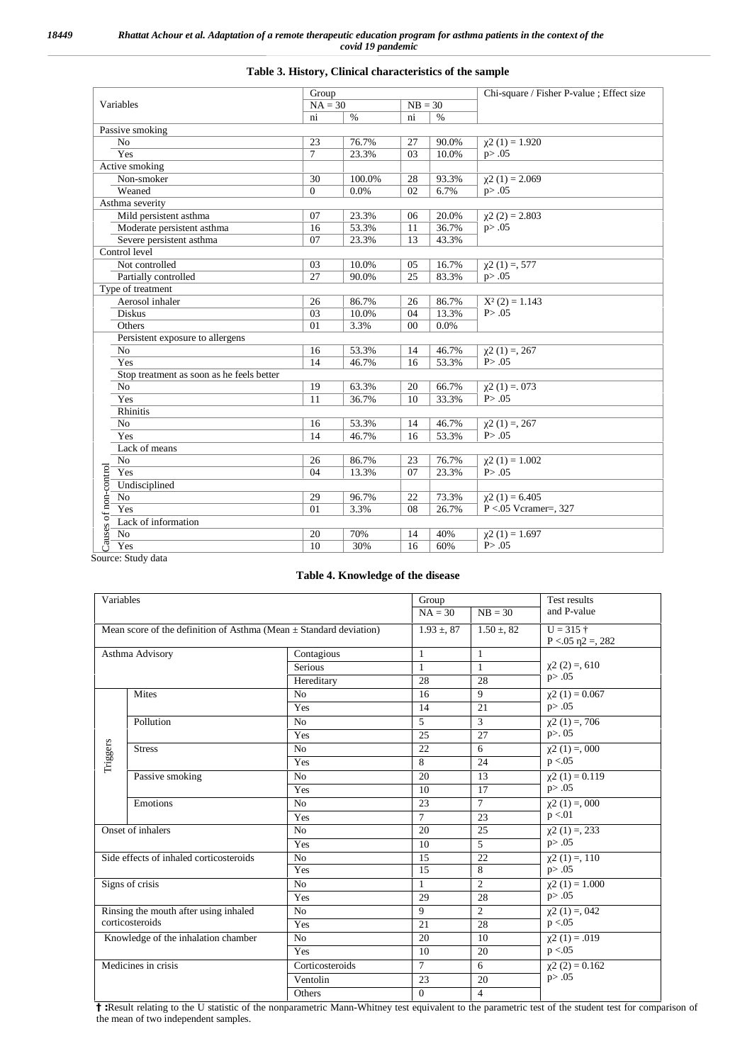### **Table 3. History, Clinical characteristics of the sample**

|                                           | Group    |           |    |           | Chi-square / Fisher P-value; Effect size |
|-------------------------------------------|----------|-----------|----|-----------|------------------------------------------|
| Variables                                 |          | $NA = 30$ |    | $NB = 30$ |                                          |
|                                           | ni       | $\%$      | ni | $\%$      |                                          |
| Passive smoking                           |          |           |    |           |                                          |
| No                                        | 23       | 76.7%     | 27 | 90.0%     | $2(1) = 1.920$                           |
| Yes                                       | 7        | 23.3%     | 03 | 10.0%     | p > .05                                  |
| Active smoking                            |          |           |    |           |                                          |
| Non-smoker                                | 30       | 100.0%    | 28 | 93.3%     | $2(1) = 2.069$                           |
| Weaned                                    | $\Omega$ | 0.0%      | 02 | 6.7%      | p > .05                                  |
| Asthma severity                           |          |           |    |           |                                          |
| Mild persistent asthma                    | 07       | 23.3%     | 06 | 20.0%     | $2(2) = 2.803$                           |
| Moderate persistent asthma                | 16       | 53.3%     | 11 | 36.7%     | p > .05                                  |
| Severe persistent asthma                  | 07       | 23.3%     | 13 | 43.3%     |                                          |
| Control level                             |          |           |    |           |                                          |
| Not controlled                            | 03       | 10.0%     | 05 | 16.7%     | $2(1) = 577$                             |
| Partially controlled                      | 27       | 90.0%     | 25 | 83.3%     | p > .05                                  |
| Type of treatment                         |          |           |    |           |                                          |
| Aerosol inhaler                           | 26       | 86.7%     | 26 | 86.7%     | $2(2) = 1.143$                           |
| <b>Diskus</b>                             | 03       | 10.0%     | 04 | 13.3%     | P > .05                                  |
| Others                                    | 01       | 3.3%      | 00 | 0.0%      |                                          |
| Persistent exposure to allergens          |          |           |    |           |                                          |
| N <sub>o</sub>                            | 16       | 53.3%     | 14 | 46.7%     | $2(1) = 267$                             |
| Yes                                       | 14       | 46.7%     | 16 | 53.3%     | P > .05                                  |
| Stop treatment as soon as he feels better |          |           |    |           |                                          |
| No                                        | 19       | 63.3%     | 20 | 66.7%     | $2(1) = 0.073$                           |
| Yes                                       | 11       | 36.7%     | 10 | 33.3%     | P > .05                                  |
| Rhinitis                                  |          |           |    |           |                                          |
| No                                        | 16       | 53.3%     | 14 | 46.7%     | $2(1) = 267$                             |
| Yes                                       | 14       | 46.7%     | 16 | 53.3%     | P > .05                                  |
| Lack of means                             |          |           |    |           |                                          |
| No                                        | 26       | 86.7%     | 23 | 76.7%     | $2(1) = 1.002$                           |
| Yes                                       | 04       | 13.3%     | 07 | 23.3%     | P > .05                                  |
| Undisciplined                             |          |           |    |           |                                          |
| N <sub>o</sub>                            | 29       | 96.7%     | 22 | 73.3%     | $2(1) = 6.405$                           |
| Yes                                       | 01       | 3.3%      | 08 | 26.7%     | $P < 05$ Vcramer=, 327                   |
| Lack of information                       |          |           |    |           |                                          |
| Causes of non-control<br>N <sub>o</sub>   | 20       | 70%       | 14 | 40%       | $2(1) = 1.697$                           |
| Yes                                       | 10       | 30%       | 16 | 60%       | P > .05                                  |

Source: Study data

#### **Table 4. Knowledge of the disease**

| Variables                                                              |                                     |                 | Group           |                 | Test results                      |  |
|------------------------------------------------------------------------|-------------------------------------|-----------------|-----------------|-----------------|-----------------------------------|--|
|                                                                        |                                     |                 | $NA = 30$       | $NB = 30$       | and P-value                       |  |
| Mean score of the definition of Asthma (Mean $\pm$ Standard deviation) |                                     |                 | $1.93 \pm 0.87$ | $1.50 \pm 0.82$ | $U = 315 +$<br>$P < 0.05$ 2 = 282 |  |
|                                                                        | Asthma Advisory                     | Contagious      | 1               | 1               |                                   |  |
|                                                                        |                                     | <b>Serious</b>  | $\mathbf{1}$    | 1               | $2(2) = 610$                      |  |
|                                                                        |                                     | Hereditary      | 28              | 28              | p > .05                           |  |
|                                                                        | Mites                               | No              | 16              | $\mathbf{Q}$    | $2(1) = 0.067$                    |  |
|                                                                        |                                     | Yes             | 14              | 21              | p > .05                           |  |
|                                                                        | Pollution                           | No              | $\overline{5}$  | 3               | $2(1) = 706$                      |  |
|                                                                        |                                     | Yes             | 25              | 27              | p > 0.05                          |  |
| Triggers                                                               | <b>Stress</b>                       | No              | 22              | 6               | $2(1) = 0.000$                    |  |
|                                                                        |                                     | Yes             | 8               | 24              | p < 0.05                          |  |
|                                                                        | Passive smoking                     | No              | 20              | 13              | $2(1) = 0.119$                    |  |
|                                                                        |                                     | Yes             | 10              | 17              | p > .05                           |  |
|                                                                        | Emotions                            | No              | 23              | $\tau$          | $2(1) = 0.000$                    |  |
|                                                                        |                                     | Yes             | $\tau$          | 23              | p < 01                            |  |
| Onset of inhalers<br>Side effects of inhaled corticosteroids           |                                     | No              | 20              | 25              | $2(1) = 233$                      |  |
|                                                                        |                                     | Yes             | 10              | 5               | p > .05                           |  |
|                                                                        |                                     | No              | 15              | 22              | $2(1) = 110$                      |  |
|                                                                        |                                     | Yes             | 15              | 8               | p > .05                           |  |
| Signs of crisis                                                        |                                     | No              | $\mathbf{1}$    | $\mathfrak{D}$  | $2(1) = 1.000$                    |  |
|                                                                        |                                     | Yes             | 29              | 28              | p > .05                           |  |
| Rinsing the mouth after using inhaled<br>corticosteroids               |                                     | N <sub>o</sub>  | 9               | $\overline{2}$  | $2(1) = 0.042$                    |  |
|                                                                        |                                     | Yes             | 21              | 28              | p < 0.05                          |  |
|                                                                        | Knowledge of the inhalation chamber | No              | 20              | 10              | $2(1) = .019$                     |  |
|                                                                        |                                     | Yes             | 10              | 20              | p < 0.05                          |  |
|                                                                        | Medicines in crisis                 | Corticosteroids | $\tau$          | 6               | $2(2) = 0.162$                    |  |
|                                                                        |                                     | Ventolin        | 23              | 20              | p > .05                           |  |
|                                                                        |                                     | Others          | $\Omega$        | $\overline{4}$  |                                   |  |

**† :**Result relating to the U statistic of the nonparametric Mann-Whitney test equivalent to the parametric test of the student test for comparison of the mean of two independent samples.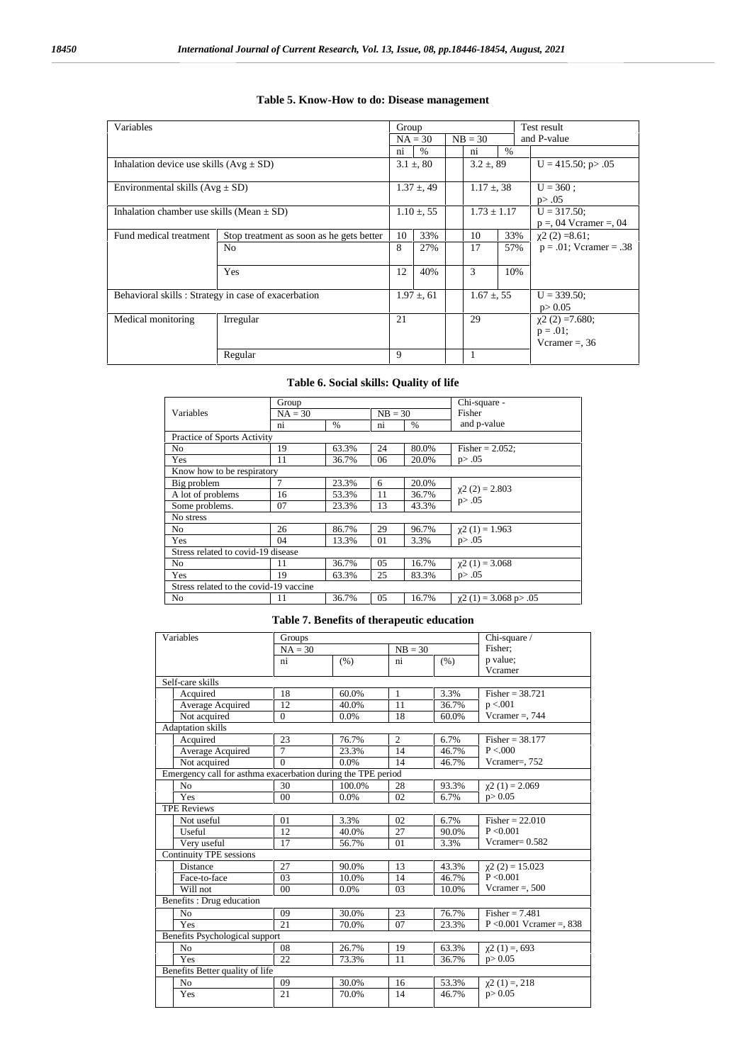**Table 5. Know-How to do: Disease management**

#### Variables **Test result Test result Test result Test result**  $\begin{array}{|c|c|c|c|}\n\hline\n\text{Group} & \text{NB = 30} \\
\hline\n\text{NA = 30} & \text{NB = 30} \\
\hline\n\end{array}$  and P-value  $\begin{array}{c|c|c|c|c|c} \n\text{ni} & \frac{96}{6} & \text{ni} & \frac{96}{6} \\ \n\hline\n3.1 \pm , 80 & 3.2 \pm , 89 & U = 415.50; \text{p} > .05\n\end{array}$ Inhalation device use skills  $(Avg \pm SD)$  3.1  $\pm$ , 80 Environmental skills  $(Avg \pm SD)$  1.37  $\pm$ , 49 1.17  $\pm$ , 38 U = 360; p> .05 Inhalation chamber use skills (Mean  $\pm$  SD) 1.10  $\pm$ , 55 1.17 1.73  $\pm$  1.17 1.73  $\pm$  1.17 1.73  $\pm$  1.750; p =, 04 Vcramer =, 04 Fund medical treatment Stop treatment as soon as he gets better 10 33% 10 33% χ2 (2) =8.61; No 8 27% 17 57% p = .01; Vcramer = .38 Yes  $12 \mid 40\% \mid 3 \mid 10\% \mid$ Behavioral skills : Strategy in case of exacerbation  $1.97 \pm 0.61$   $1.67 \pm 0.55$  U = 339.50; p> 0.05 Medical monitoring Irregular 21 29  $2(2) = 7.680$ ;  $p = 0.01;$ Vcramer =, 36 Regular 9 1

#### **Table 6. Social skills: Quality of life**

|                                        | Group          |               | Chi-square - |               |                          |  |  |
|----------------------------------------|----------------|---------------|--------------|---------------|--------------------------|--|--|
| Variables                              | $NA = 30$      |               | $NB = 30$    |               | Fisher                   |  |  |
|                                        | ni             | $\frac{0}{0}$ | ni           | $\frac{0}{0}$ | and p-value              |  |  |
| Practice of Sports Activity            |                |               |              |               |                          |  |  |
| No                                     | 19             | 63.3%         | 24           | 80.0%         | Fisher = $2.052$ ;       |  |  |
| Yes                                    | 11             | 36.7%         | 06           | 20.0%         | p > .05                  |  |  |
| Know how to be respiratory             |                |               |              |               |                          |  |  |
| Big problem                            | $\overline{7}$ | 23.3%         | 6            | 20.0%         | $2(2) = 2.803$           |  |  |
| A lot of problems                      | 16             | 53.3%         | 11           | 36.7%         | p > .05                  |  |  |
| Some problems.                         | 07             | 23.3%         | 13           | 43.3%         |                          |  |  |
| No stress                              |                |               |              |               |                          |  |  |
| N <sub>o</sub>                         | 26             | 86.7%         | 29           | 96.7%         | $2(1) = 1.963$           |  |  |
| Yes                                    | 04             | 13.3%         | 01           | 3.3%          | p > .05                  |  |  |
| Stress related to covid-19 disease     |                |               |              |               |                          |  |  |
| No                                     | 11             | 36.7%         | 05           | 16.7%         | $2(1) = 3.068$           |  |  |
| Yes                                    | 19             | 63.3%         | 25           | 83.3%         | p > .05                  |  |  |
| Stress related to the covid-19 vaccine |                |               |              |               |                          |  |  |
| N <sub>o</sub>                         | 11             | 36.7%         | 05           | 16.7%         | $2(1) = 3.068$ p $> .05$ |  |  |

#### **Table 7. Benefits of therapeutic education**

| Variables                                                    | Groups         |        | Chi-square /   |       |                            |
|--------------------------------------------------------------|----------------|--------|----------------|-------|----------------------------|
|                                                              | $NA = 30$      |        | $NB = 30$      |       | Fisher:                    |
|                                                              | ni             | (% )   | ni             | (% )  | p value;                   |
|                                                              |                |        |                |       | Vcramer                    |
| Self-care skills                                             |                |        |                |       |                            |
| Acquired                                                     | 18             | 60.0%  | 1              | 3.3%  | $Fisher = 38.721$          |
| Average Acquired                                             | 12             | 40.0%  | 11             | 36.7% | p < 0.001                  |
| Not acquired                                                 | $\Omega$       | 0.0%   | 18             | 60.0% | Vcramer = $, 744$          |
| <b>Adaptation</b> skills                                     |                |        |                |       |                            |
| Acquired                                                     | 23             | 76.7%  | $\overline{2}$ | 6.7%  | $Fisher = 38.177$          |
| Average Acquired                                             | $\overline{7}$ | 23.3%  | 14             | 46.7% | P < 000                    |
| Not acquired                                                 | $\Omega$       | 0.0%   | 14             | 46.7% | Vcramer=, 752              |
| Emergency call for asthma exacerbation during the TPE period |                |        |                |       |                            |
| No                                                           | 30             | 100.0% | 28             | 93.3% | $2(1) = 2.069$             |
| Yes                                                          | 0 <sub>0</sub> | 0.0%   | 02             | 6.7%  | p > 0.05                   |
| <b>TPE Reviews</b>                                           |                |        |                |       |                            |
| Not useful                                                   | 01             | 3.3%   | 02             | 6.7%  | Fisher = $22.010$          |
| Useful                                                       | 12             | 40.0%  | 27             | 90.0% | P < 0.001                  |
| Very useful                                                  | 17             | 56.7%  | 01             | 3.3%  | Vcramer= $0.582$           |
| Continuity TPE sessions                                      |                |        |                |       |                            |
| Distance                                                     | 27             | 90.0%  | 13             | 43.3% | $2(2) = 15.023$            |
| Face-to-face                                                 | 03             | 10.0%  | 14             | 46.7% | P < 0.001                  |
| Will not                                                     | 0 <sub>0</sub> | 0.0%   | 03             | 10.0% | Vcramer = $, 500$          |
| Benefits: Drug education                                     |                |        |                |       |                            |
| N <sub>o</sub>                                               | 09             | 30.0%  | 23             | 76.7% | $Fisher = 7.481$           |
| <b>Yes</b>                                                   | 21             | 70.0%  | 07             | 23.3% | $P < 0.001$ Vcramer =, 838 |
| Benefits Psychological support                               |                |        |                |       |                            |
| N <sub>o</sub>                                               | 08             | 26.7%  | 19             | 63.3% | $2(1) = 693$               |
| Yes                                                          | 22             | 73.3%  | 11             | 36.7% | p > 0.05                   |
| Benefits Better quality of life                              |                |        |                |       |                            |
| No                                                           | 09             | 30.0%  | 16             | 53.3% | $2(1) = 218$               |
| Yes                                                          | 21             | 70.0%  | 14             | 46.7% | p > 0.05                   |
|                                                              |                |        |                |       |                            |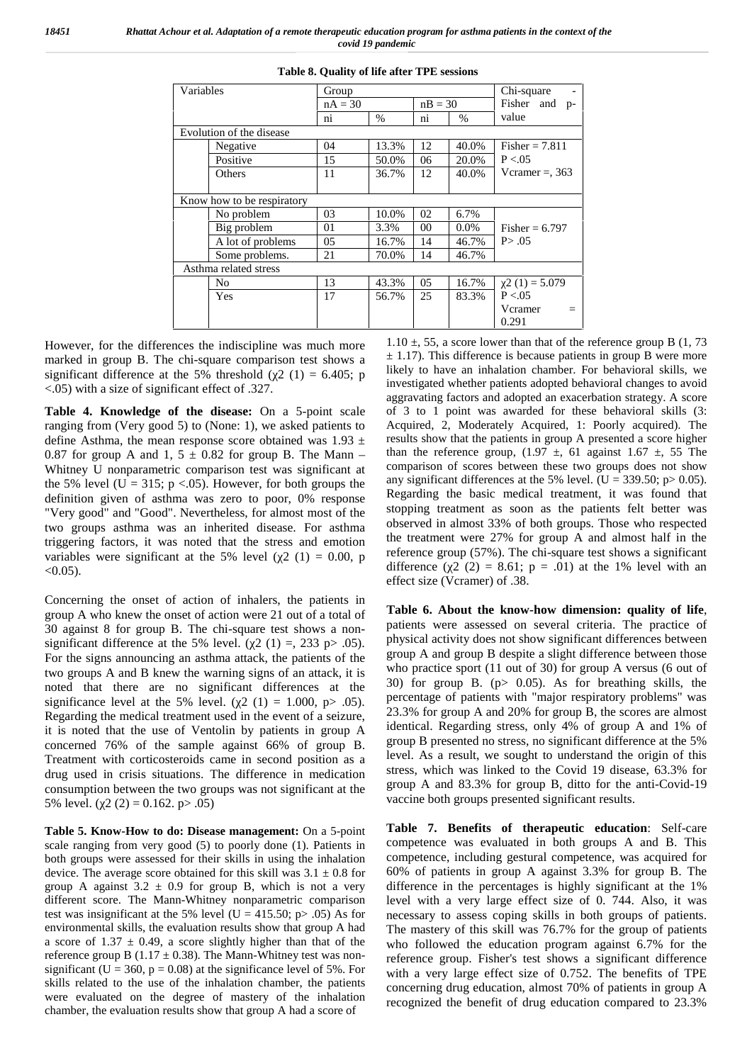*18451 Rhattat Achour et al. Adaptation of a remote therapeutic education program for asthma patients in the context of the covid 19 pandemic*

| Variables |                            | Group     |       | Chi-square |           |                   |
|-----------|----------------------------|-----------|-------|------------|-----------|-------------------|
|           |                            | $nA = 30$ |       |            | $nB = 30$ | Fisher and p-     |
|           |                            | ni        | $\%$  | ni         | $\%$      | value             |
|           | Evolution of the disease   |           |       |            |           |                   |
|           | Negative                   | 04        | 13.3% | 12         | 40.0%     | Fisher $= 7.811$  |
|           | Positive                   | 15        | 50.0% | 06         | 20.0%     | P < 0.05          |
|           | Others                     | 11        | 36.7% | 12         | 40.0%     | Vcramer = $, 363$ |
|           |                            |           |       |            |           |                   |
|           | Know how to be respiratory |           |       |            |           |                   |
|           | No problem                 | 03        | 10.0% | 02         | 6.7%      |                   |
|           | Big problem                | 01        | 3.3%  | 00         | $0.0\%$   | Fisher = $6.797$  |
|           | A lot of problems          | 05        | 16.7% | 14         | 46.7%     | P > .05           |
|           | Some problems.             | 21        | 70.0% | 14         | 46.7%     |                   |
|           | Asthma related stress      |           |       |            |           |                   |
|           | No                         | 13        | 43.3% | 05         | 16.7%     | $2(1) = 5.079$    |
|           | Yes                        | 17        | 56.7% | 25         | 83.3%     | P < 0.05          |
|           |                            |           |       |            |           | Vcramer<br>$=$    |
|           |                            |           |       |            |           | 0.291             |

|  |  |  | Table 8. Quality of life after TPE sessions |  |
|--|--|--|---------------------------------------------|--|
|--|--|--|---------------------------------------------|--|

However, for the differences the indiscipline was much more marked in group B. The chi-square comparison test shows a significant difference at the 5% threshold ( $2(1) = 6.405$ ; p <.05) with a size of significant effect of .327.

**Table 4. Knowledge of the disease:** On a 5-point scale ranging from (Very good 5) to (None: 1), we asked patients to define Asthma, the mean response score obtained was  $1.93 \pm$ 0.87 for group A and 1,  $5 \pm 0.82$  for group B. The Mann – Whitney U nonparametric comparison test was significant at the 5% level (U = 315;  $p < .05$ ). However, for both groups the definition given of asthma was zero to poor, 0% response "Very good" and "Good". Nevertheless, for almost most of the two groups asthma was an inherited disease. For asthma triggering factors, it was noted that the stress and emotion variables were significant at the 5% level ( $2(1) = 0.00$ , p  $< 0.05$ ).

Concerning the onset of action of inhalers, the patients in group A who knew the onset of action were 21 out of a total of 30 against 8 for group B. The chi-square test shows a non significant difference at the 5% level. ( $2(1) = 233$  p $> 0.05$ ). For the signs announcing an asthma attack, the patients of the two groups A and B knew the warning signs of an attack, it is noted that there are no significant differences at the significance level at the 5% level. ( $2(1) = 1.000$ , p $> .05$ ). Regarding the medical treatment used in the event of a seizure, it is noted that the use of Ventolin by patients in group A concerned 76% of the sample against 66% of group B. Treatment with corticosteroids came in second position as a drug used in crisis situations. The difference in medication consumption between the two groups was not significant at the 5% level.  $(2(2) = 0.162$ . p> .05)

**Table 5. Know-How to do: Disease management:** On a 5-point scale ranging from very good (5) to poorly done (1). Patients in both groups were assessed for their skills in using the inhalation device. The average score obtained for this skill was  $3.1 \pm 0.8$  for group A against  $3.2 \pm 0.9$  for group B, which is not a very different score. The Mann-Whitney nonparametric comparison test was insignificant at the 5% level (U = 415.50; p > .05) As for environmental skills, the evaluation results show that group A had a score of  $1.37 \pm 0.49$ , a score slightly higher than that of the reference group B (1.17  $\pm$  0.38). The Mann-Whitney test was nonsignificant (U = 360,  $p = 0.08$ ) at the significance level of 5%. For skills related to the use of the inhalation chamber, the patients were evaluated on the degree of mastery of the inhalation chamber, the evaluation results show that group A had a score of

1.10  $\pm$ , 55, a score lower than that of the reference group B (1, 73)  $\pm$  1.17). This difference is because patients in group B were more likely to have an inhalation chamber. For behavioral skills, we investigated whether patients adopted behavioral changes to avoid aggravating factors and adopted an exacerbation strategy. A score of 3 to 1 point was awarded for these behavioral skills (3: Acquired, 2, Moderately Acquired, 1: Poorly acquired). The results show that the patients in group A presented a score higher than the reference group,  $(1.97 \pm, 61)$  against  $1.67 \pm, 55$  The comparison of scores between these two groups does not show any significant differences at the 5% level. (U = 339.50; p > 0.05). Regarding the basic medical treatment, it was found that stopping treatment as soon as the patients felt better was observed in almost 33% of both groups. Those who respected the treatment were 27% for group A and almost half in the reference group (57%). The chi-square test shows a significant difference (  $2(2) = 8.61$ ;  $p = .01$ ) at the 1% level with an effect size (Vcramer) of .38.

**Table 6. About the know-how dimension: quality of life**, patients were assessed on several criteria. The practice of physical activity does not show significant differences between group A and group B despite a slight difference between those who practice sport (11 out of 30) for group A versus (6 out of 30) for group B. (p> 0.05). As for breathing skills, the percentage of patients with "major respiratory problems" was 23.3% for group A and 20% for group B, the scores are almost identical. Regarding stress, only 4% of group A and 1% of group B presented no stress, no significant difference at the 5% level. As a result, we sought to understand the origin of this stress, which was linked to the Covid 19 disease, 63.3% for group A and 83.3% for group B, ditto for the anti-Covid-19 vaccine both groups presented significant results.

**Table 7. Benefits of therapeutic education**: Self-care competence was evaluated in both groups A and B. This competence, including gestural competence, was acquired for 60% of patients in group A against 3.3% for group B. The difference in the percentages is highly significant at the 1% level with a very large effect size of 0. 744. Also, it was necessary to assess coping skills in both groups of patients. The mastery of this skill was 76.7% for the group of patients who followed the education program against 6.7% for the reference group. Fisher's test shows a significant difference with a very large effect size of 0.752. The benefits of TPE concerning drug education, almost 70% of patients in group A recognized the benefit of drug education compared to 23.3%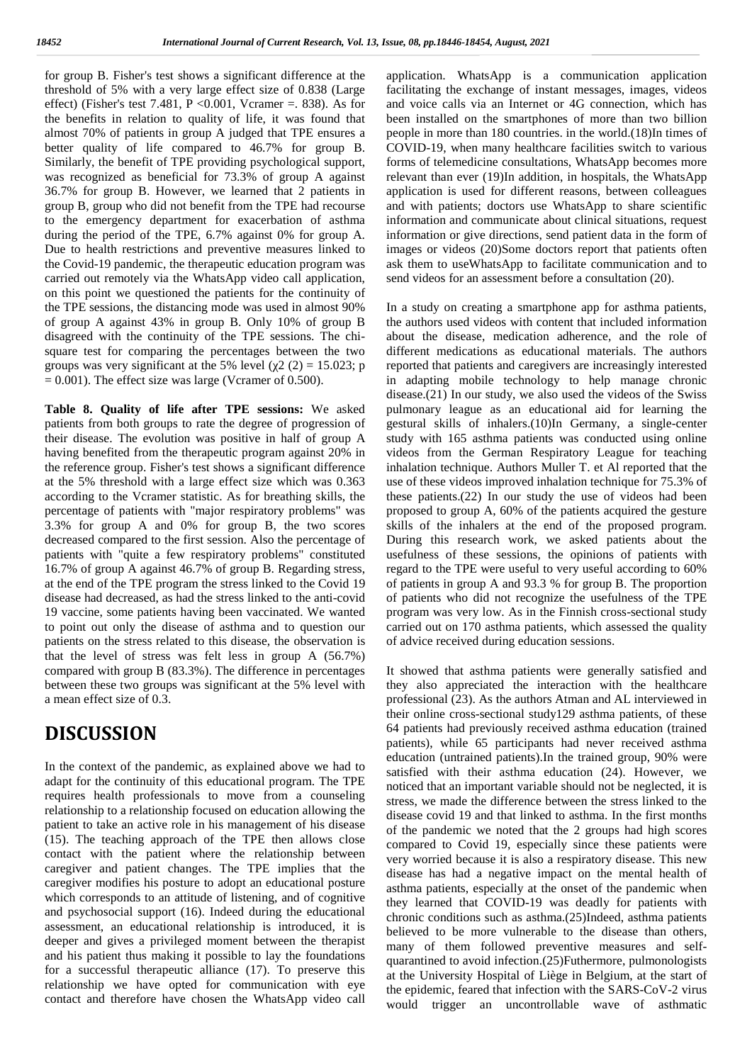for group B. Fisher's test shows a significant difference at the app<sup>1</sup> threshold of 5% with a very large effect size of 0.838 (Large effect) (Fisher's test 7.481,  $P \le 0.001$ , Vcramer = 838). As for the benefits in relation to quality of life, it was found that almost 70% of patients in group A judged that TPE ensures a better quality of life compared to 46.7% for group B. Similarly, the benefit of TPE providing psychological support, was recognized as beneficial for 73.3% of group A against 36.7% for group B. However, we learned that 2 patients in group B, group who did not benefit from the TPE had recourse to the emergency department for exacerbation of asthma during the period of the TPE, 6.7% against 0% for group A. Due to health restrictions and preventive measures linked to the Covid-19 pandemic, the therapeutic education program was carried out remotely via the WhatsApp video call application, on this point we questioned the patients for the continuity of the TPE sessions, the distancing mode was used in almost 90% of group A against 43% in group B. Only 10% of group B disagreed with the continuity of the TPE sessions. The chi square test for comparing the percentages between the two groups was very significant at the 5% level ( $2(2) = 15.023$ ; p  $= 0.001$ ). The effect size was large (Vcramer of 0.500).

**Table 8. Quality of life after TPE sessions:** We asked patients from both groups to rate the degree of progression of their disease. The evolution was positive in half of group A having benefited from the therapeutic program against 20% in the reference group. Fisher's test shows a significant difference at the 5% threshold with a large effect size which was 0.363 according to the Vcramer statistic. As for breathing skills, the percentage of patients with "major respiratory problems" was 3.3% for group A and 0% for group B, the two scores decreased compared to the first session. Also the percentage of patients with "quite a few respiratory problems" constituted 16.7% of group A against 46.7% of group B. Regarding stress, at the end of the TPE program the stress linked to the Covid 19 disease had decreased, as had the stress linked to the anti-covid 19 vaccine, some patients having been vaccinated. We wanted to point out only the disease of asthma and to question our patients on the stress related to this disease, the observation is that the level of stress was felt less in group A (56.7%) compared with group B (83.3%). The difference in percentages between these two groups was significant at the 5% level with a mean effect size of 0.3.

### **DISCUSSION**

In the context of the pandemic, as explained above we had to adapt for the continuity of this educational program. The TPE requires health professionals to move from a counseling relationship to a relationship focused on education allowing the patient to take an active role in his management of his disease (15). The teaching approach of the TPE then allows close contact with the patient where the relationship between caregiver and patient changes. The TPE implies that the caregiver modifies his posture to adopt an educational posture which corresponds to an attitude of listening, and of cognitive and psychosocial support (16). Indeed during the educational assessment, an educational relationship is introduced, it is deeper and gives a privileged moment between the therapist and his patient thus making it possible to lay the foundations for a successful therapeutic alliance (17). To preserve this relationship we have opted for communication with eye contact and therefore have chosen the WhatsApp video call

application. WhatsApp is a communication application facilitating the exchange of instant messages, images, videos and voice calls via an Internet or 4G connection, which has been installed on the smartphones of more than two billion people in more than 180 countries. in the world.(18)In times of COVID-19, when many healthcare facilities switch to various forms of telemedicine consultations, WhatsApp becomes more relevant than ever (19)In addition, in hospitals, the WhatsApp application is used for different reasons, between colleagues and with patients; doctors use WhatsApp to share scientific information and communicate about clinical situations, request information or give directions, send patient data in the form of images or videos (20)Some doctors report that patients often ask them to useWhatsApp to facilitate communication and to send videos for an assessment before a consultation (20).

In a study on creating a smartphone app for asthma patients, the authors used videos with content that included information about the disease, medication adherence, and the role of different medications as educational materials. The authors reported that patients and caregivers are increasingly interested in adapting mobile technology to help manage chronic disease.(21) In our study, we also used the videos of the Swiss pulmonary league as an educational aid for learning the gestural skills of inhalers.(10)In Germany, a single-center study with 165 asthma patients was conducted using online videos from the German Respiratory League for teaching inhalation technique. Authors Muller T. et Al reported that the use of these videos improved inhalation technique for 75.3% of these patients.(22) In our study the use of videos had been proposed to group A, 60% of the patients acquired the gesture skills of the inhalers at the end of the proposed program. During this research work, we asked patients about the usefulness of these sessions, the opinions of patients with regard to the TPE were useful to very useful according to 60% of patients in group A and 93.3 % for group B. The proportion of patients who did not recognize the usefulness of the TPE program was very low. As in the Finnish cross-sectional study carried out on 170 asthma patients, which assessed the quality of advice received during education sessions.

It showed that asthma patients were generally satisfied and they also appreciated the interaction with the healthcare professional (23). As the authors Atman and AL interviewed in their online cross-sectional study129 asthma patients, of these 64 patients had previously received asthma education (trained patients), while 65 participants had never received asthma education (untrained patients).In the trained group, 90% were satisfied with their asthma education (24). However, we noticed that an important variable should not be neglected, it is stress, we made the difference between the stress linked to the disease covid 19 and that linked to asthma. In the first months of the pandemic we noted that the 2 groups had high scores compared to Covid 19, especially since these patients were very worried because it is also a respiratory disease. This new disease has had a negative impact on the mental health of asthma patients, especially at the onset of the pandemic when they learned that COVID-19 was deadly for patients with chronic conditions such as asthma.(25)Indeed, asthma patients believed to be more vulnerable to the disease than others, many of them followed preventive measures and self quarantined to avoid infection.(25)Futhermore, pulmonologists at the University Hospital of Liège in Belgium, at the start of the epidemic, feared that infection with the SARS-CoV-2 virus would trigger an uncontrollable wave of asthmatic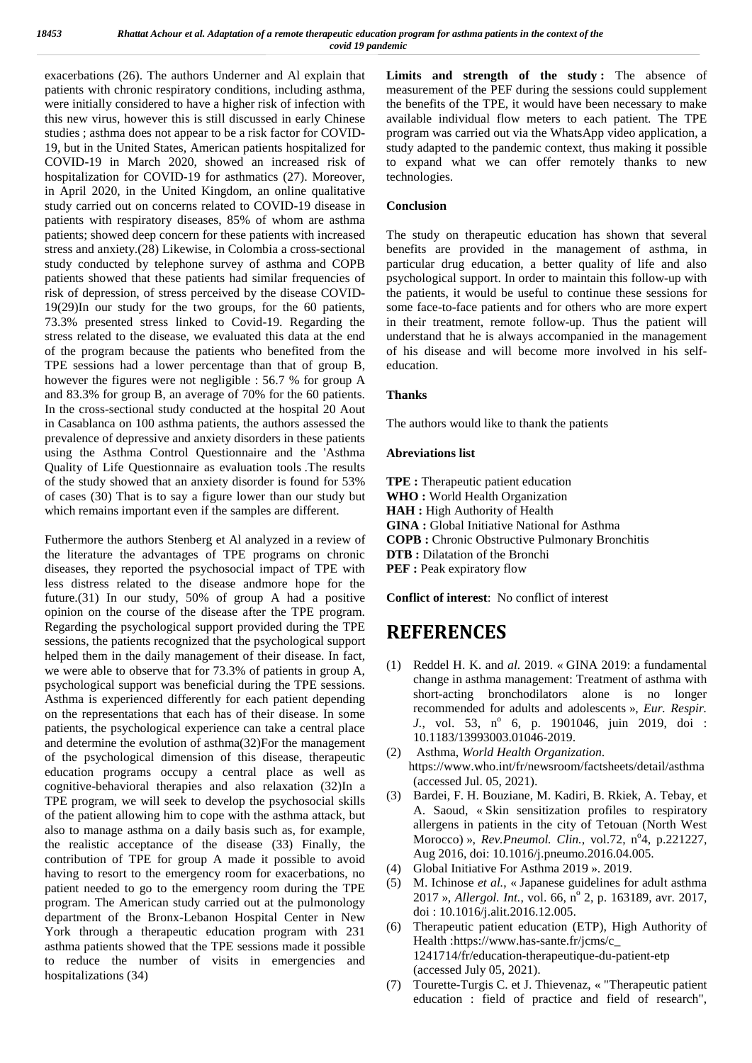exacerbations (26). The authors Underner and Al explain that **I** patients with chronic respiratory conditions, including asthma, were initially considered to have a higher risk of infection with this new virus, however this is still discussed in early Chinese studies ; asthma does not appear to be a risk factor for COVID- 19, but in the United States, American patients hospitalized for COVID-19 in March 2020, showed an increased risk of hospitalization for COVID-19 for asthmatics (27). Moreover, in April 2020, in the United Kingdom, an online qualitative study carried out on concerns related to COVID-19 disease in patients with respiratory diseases, 85% of whom are asthma patients; showed deep concern for these patients with increased stress and anxiety.(28) Likewise, in Colombia a cross-sectional study conducted by telephone survey of asthma and COPB patients showed that these patients had similar frequencies of risk of depression, of stress perceived by the disease COVID- 19(29)In our study for the two groups, for the 60 patients, 73.3% presented stress linked to Covid-19. Regarding the stress related to the disease, we evaluated this data at the end of the program because the patients who benefited from the TPE sessions had a lower percentage than that of group B, however the figures were not negligible : 56.7 % for group A and 83.3% for group B, an average of 70% for the 60 patients. In the cross-sectional study conducted at the hospital 20 Aout in Casablanca on 100 asthma patients, the authors assessed the prevalence of depressive and anxiety disorders in these patients using the Asthma Control Questionnaire and the 'Asthma Quality of Life Questionnaire as evaluation tools .The results of the study showed that an anxiety disorder is found for 53% of cases (30) That is to say a figure lower than our study but which remains important even if the samples are different.

Futhermore the authors Stenberg et Al analyzed in a review of the literature the advantages of TPE programs on chronic diseases, they reported the psychosocial impact of TPE with less distress related to the disease andmore hope for the future.(31) In our study, 50% of group A had a positive opinion on the course of the disease after the TPE program. Regarding the psychological support provided during the TPE sessions, the patients recognized that the psychological support helped them in the daily management of their disease. In fact, we were able to observe that for 73.3% of patients in group A, psychological support was beneficial during the TPE sessions. Asthma is experienced differently for each patient depending on the representations that each has of their disease. In some patients, the psychological experience can take a central place and determine the evolution of asthma(32)For the management of the neural  $(2)$ of the psychological dimension of this disease, therapeutic education programs occupy a central place as well as cognitive-behavioral therapies and also relaxation (32)In a TPE program, we will seek to develop the psychosocial skills of the patient allowing him to cope with the asthma attack, but also to manage asthma on a daily basis such as, for example, the realistic acceptance of the disease (33) Finally, the contribution of TPE for group A made it possible to avoid having to resort to the emergency room for exacerbations, no patient needed to go to the emergency room during the TPE program. The American study carried out at the pulmonology department of the Bronx-Lebanon Hospital Center in New York through a therapeutic education program with 231 asthma patients showed that the TPE sessions made it possible to reduce the number of visits in emergencies and hospitalizations (34)

**Limits and strength of the study :** The absence of measurement of the PEF during the sessions could supplement the benefits of the TPE, it would have been necessary to make available individual flow meters to each patient. The TPE program was carried out via the WhatsApp video application, a study adapted to the pandemic context, thus making it possible to expand what we can offer remotely thanks to new technologies.

### **Conclusion**

The study on therapeutic education has shown that several benefits are provided in the management of asthma, in particular drug education, a better quality of life and also psychological support. In order to maintain this follow-up with the patients, it would be useful to continue these sessions for some face-to-face patients and for others who are more expert in their treatment, remote follow-up. Thus the patient will understand that he is always accompanied in the management of his disease and will become more involved in his self education.

### **Thanks**

The authors would like to thank the patients

#### **Abreviations list**

**TPE :** Therapeutic patient education **WHO :** World Health Organization **HAH :** High Authority of Health **GINA :** Global Initiative National for Asthma **COPB :** Chronic Obstructive Pulmonary Bronchitis **DTB :** Dilatation of the Bronchi **PEF :** Peak expiratory flow

**Conflict of interest**: No conflict of interest

## **REFERENCES**

- (1) Reddel H. K. and *al.* 2019. « GINA 2019: a fundamental change in asthma management: Treatment of asthma with short-acting bronchodilators alone is no longer recommended for adults and adolescents »,*Eur. Respir. J.*, vol. 53, n° 6, p. 1901046, juin 2019, doi : 10.1183/13993003.01046-2019.
- (2) Asthma, *World Health Organization*. https://www.who.int/fr/newsroom/factsheets/detail/asthma (accessed Jul. 05, 2021).
- (3) Bardei, F. H. Bouziane, M. Kadiri, B. Rkiek, A. Tebay, et A. Saoud, « Skin sensitization profiles to respiratory allergens in patients in the city of Tetouan (North West Morocco) », *Rev.Pneumol. Clin.*, vol.72, n<sup>o</sup>4, p.221227, Aug 2016, doi: 10.1016/j.pneumo.2016.04.005.
- (4) Global Initiative For Asthma 2019 ». 2019.
- (5) M. Ichinose *et al.*, « Japanese guidelines for adult asthma 2017 », *Allergol. Int.*, vol. 66, n<sup>o</sup> 2, p. 163189, avr. 2017, doi : 10.1016/j.alit.2016.12.005.
- (6) Therapeutic patient education (ETP), High Authority of Health :https://www.has-sante.fr/jcms/c\_ 1241714/fr/education-therapeutique-du-patient-etp (accessed July 05, 2021).
- (7) Tourette-Turgis C. et J. Thievenaz, « "Therapeutic patient education : field of practice and field of research",